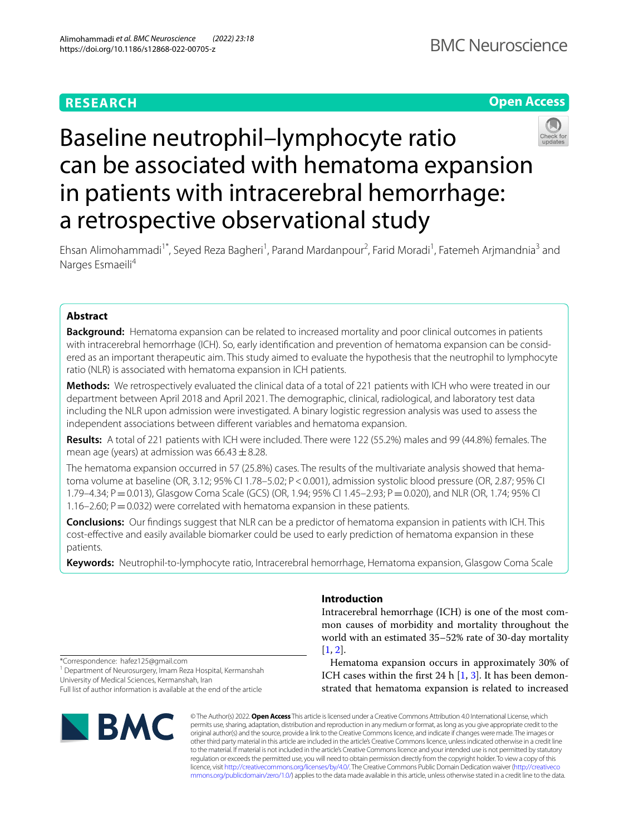# **RESEARCH**





# Baseline neutrophil–lymphocyte ratio can be associated with hematoma expansion in patients with intracerebral hemorrhage: a retrospective observational study

Ehsan Alimohammadi<sup>1\*</sup>, Seyed Reza Bagheri<sup>1</sup>, Parand Mardanpour<sup>2</sup>, Farid Moradi<sup>1</sup>, Fatemeh Arjmandnia<sup>3</sup> and Narges Esmaeili<sup>4</sup>

# **Abstract**

**Background:** Hematoma expansion can be related to increased mortality and poor clinical outcomes in patients with intracerebral hemorrhage (ICH). So, early identifcation and prevention of hematoma expansion can be considered as an important therapeutic aim. This study aimed to evaluate the hypothesis that the neutrophil to lymphocyte ratio (NLR) is associated with hematoma expansion in ICH patients.

**Methods:** We retrospectively evaluated the clinical data of a total of 221 patients with ICH who were treated in our department between April 2018 and April 2021. The demographic, clinical, radiological, and laboratory test data including the NLR upon admission were investigated. A binary logistic regression analysis was used to assess the independent associations between diferent variables and hematoma expansion.

**Results:** A total of 221 patients with ICH were included. There were 122 (55.2%) males and 99 (44.8%) females. The mean age (years) at admission was  $66.43 \pm 8.28$ .

The hematoma expansion occurred in 57 (25.8%) cases. The results of the multivariate analysis showed that hematoma volume at baseline (OR, 3.12; 95% CI 1.78–5.02; P<0.001), admission systolic blood pressure (OR, 2.87; 95% CI 1.79–4.34; P=0.013), Glasgow Coma Scale (GCS) (OR, 1.94; 95% CI 1.45–2.93; P=0.020), and NLR (OR, 1.74; 95% CI 1.16–2.60;  $P = 0.032$ ) were correlated with hematoma expansion in these patients.

**Conclusions:** Our fndings suggest that NLR can be a predictor of hematoma expansion in patients with ICH. This cost-efective and easily available biomarker could be used to early prediction of hematoma expansion in these patients.

**Keywords:** Neutrophil-to-lymphocyte ratio, Intracerebral hemorrhage, Hematoma expansion, Glasgow Coma Scale

# **Introduction**

Intracerebral hemorrhage (ICH) is one of the most common causes of morbidity and mortality throughout the world with an estimated 35–52% rate of 30-day mortality  $[1, 2]$  $[1, 2]$  $[1, 2]$  $[1, 2]$ .

\*Correspondence: hafez125@gmail.com

<sup>1</sup> Department of Neurosurgery, Imam Reza Hospital, Kermanshah University of Medical Sciences, Kermanshah, Iran

Full list of author information is available at the end of the article



Hematoma expansion occurs in approximately 30% of ICH cases within the first 24 h  $[1, 3]$  $[1, 3]$  $[1, 3]$ . It has been demonstrated that hematoma expansion is related to increased

© The Author(s) 2022. **Open Access** This article is licensed under a Creative Commons Attribution 4.0 International License, which permits use, sharing, adaptation, distribution and reproduction in any medium or format, as long as you give appropriate credit to the original author(s) and the source, provide a link to the Creative Commons licence, and indicate if changes were made. The images or other third party material in this article are included in the article's Creative Commons licence, unless indicated otherwise in a credit line to the material. If material is not included in the article's Creative Commons licence and your intended use is not permitted by statutory regulation or exceeds the permitted use, you will need to obtain permission directly from the copyright holder. To view a copy of this licence, visit [http://creativecommons.org/licenses/by/4.0/.](http://creativecommons.org/licenses/by/4.0/) The Creative Commons Public Domain Dedication waiver ([http://creativeco](http://creativecommons.org/publicdomain/zero/1.0/) [mmons.org/publicdomain/zero/1.0/](http://creativecommons.org/publicdomain/zero/1.0/)) applies to the data made available in this article, unless otherwise stated in a credit line to the data.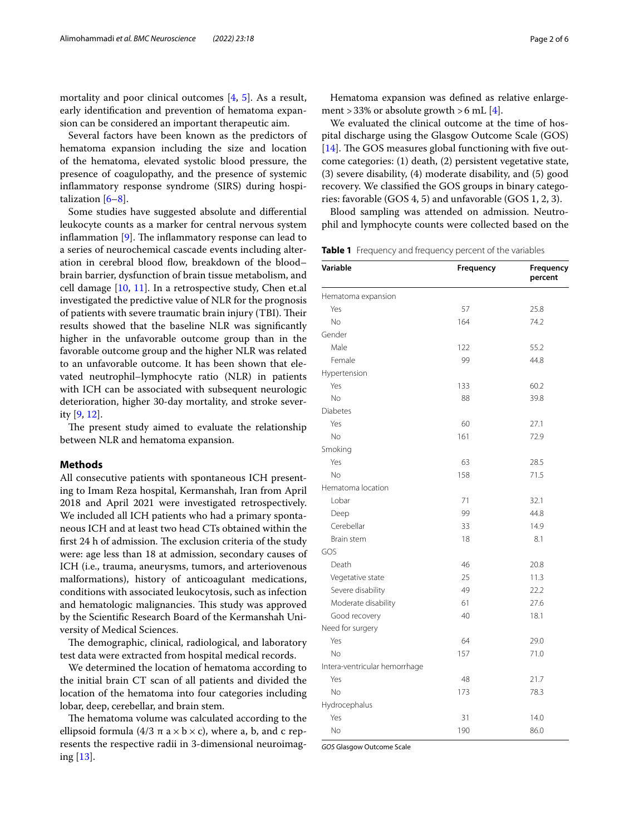mortality and poor clinical outcomes [[4](#page-4-3), [5](#page-4-4)]. As a result, early identifcation and prevention of hematoma expansion can be considered an important therapeutic aim.

Several factors have been known as the predictors of hematoma expansion including the size and location of the hematoma, elevated systolic blood pressure, the presence of coagulopathy, and the presence of systemic infammatory response syndrome (SIRS) during hospitalization [[6](#page-4-5)[–8](#page-4-6)].

Some studies have suggested absolute and diferential leukocyte counts as a marker for central nervous system inflammation  $[9]$  $[9]$ . The inflammatory response can lead to a series of neurochemical cascade events including alteration in cerebral blood flow, breakdown of the blood– brain barrier, dysfunction of brain tissue metabolism, and cell damage [[10](#page-4-8), [11\]](#page-4-9). In a retrospective study, Chen et.al investigated the predictive value of NLR for the prognosis of patients with severe traumatic brain injury (TBI). Their results showed that the baseline NLR was signifcantly higher in the unfavorable outcome group than in the favorable outcome group and the higher NLR was related to an unfavorable outcome. It has been shown that elevated neutrophil–lymphocyte ratio (NLR) in patients with ICH can be associated with subsequent neurologic deterioration, higher 30-day mortality, and stroke severity [[9](#page-4-7), [12\]](#page-4-10).

The present study aimed to evaluate the relationship between NLR and hematoma expansion.

# **Methods**

All consecutive patients with spontaneous ICH presenting to Imam Reza hospital, Kermanshah, Iran from April 2018 and April 2021 were investigated retrospectively. We included all ICH patients who had a primary spontaneous ICH and at least two head CTs obtained within the first 24 h of admission. The exclusion criteria of the study were: age less than 18 at admission, secondary causes of ICH (i.e., trauma, aneurysms, tumors, and arteriovenous malformations), history of anticoagulant medications, conditions with associated leukocytosis, such as infection and hematologic malignancies. This study was approved by the Scientifc Research Board of the Kermanshah University of Medical Sciences.

The demographic, clinical, radiological, and laboratory test data were extracted from hospital medical records.

We determined the location of hematoma according to the initial brain CT scan of all patients and divided the location of the hematoma into four categories including lobar, deep, cerebellar, and brain stem.

The hematoma volume was calculated according to the ellipsoid formula (4/3 π a  $\times$  b  $\times$  c), where a, b, and c represents the respective radii in 3-dimensional neuroimaging [[13\]](#page-4-11).

Hematoma expansion was defned as relative enlargement > 33% or absolute growth > 6 mL  $[4]$  $[4]$ .

We evaluated the clinical outcome at the time of hospital discharge using the Glasgow Outcome Scale (GOS) [ $14$ ]. The GOS measures global functioning with five outcome categories: (1) death, (2) persistent vegetative state, (3) severe disability, (4) moderate disability, and (5) good recovery. We classifed the GOS groups in binary categories: favorable (GOS 4, 5) and unfavorable (GOS 1, 2, 3).

Blood sampling was attended on admission. Neutrophil and lymphocyte counts were collected based on the

<span id="page-1-0"></span>**Table 1** Frequency and frequency percent of the variables

| Variable                      | Frequency | Frequency<br>percent |
|-------------------------------|-----------|----------------------|
| Hematoma expansion            |           |                      |
| Yes                           | 57        | 25.8                 |
| No                            | 164       | 74.2                 |
| Gender                        |           |                      |
| Male                          | 122       | 55.2                 |
| Female                        | 99        | 44.8                 |
| Hypertension                  |           |                      |
| Yes                           | 133       | 60.2                 |
| No                            | 88        | 39.8                 |
| Diabetes                      |           |                      |
| Yes                           | 60        | 27.1                 |
| No                            | 161       | 72.9                 |
| Smoking                       |           |                      |
| Yes                           | 63        | 28.5                 |
| No                            | 158       | 71.5                 |
| Hematoma location             |           |                      |
| Lobar                         | 71        | 32.1                 |
| Deep                          | 99        | 44.8                 |
| Cerebellar                    | 33        | 14.9                 |
| Brain stem                    | 18        | 8.1                  |
| GOS                           |           |                      |
| Death                         | 46        | 20.8                 |
| Vegetative state              | 25        | 11.3                 |
| Severe disability             | 49        | 22.2                 |
| Moderate disability           | 61        | 27.6                 |
| Good recovery                 | 40        | 18.1                 |
| Need for surgery              |           |                      |
| Yes                           | 64        | 29.0                 |
| No                            | 157       | 71.0                 |
| Intera-ventricular hemorrhage |           |                      |
| Yes                           | 48        | 21.7                 |
| No                            | 173       | 78.3                 |
| Hydrocephalus                 |           |                      |
| Yes                           | 31        | 14.0                 |
| No                            | 190       | 86.0                 |

*GOS* Glasgow Outcome Scale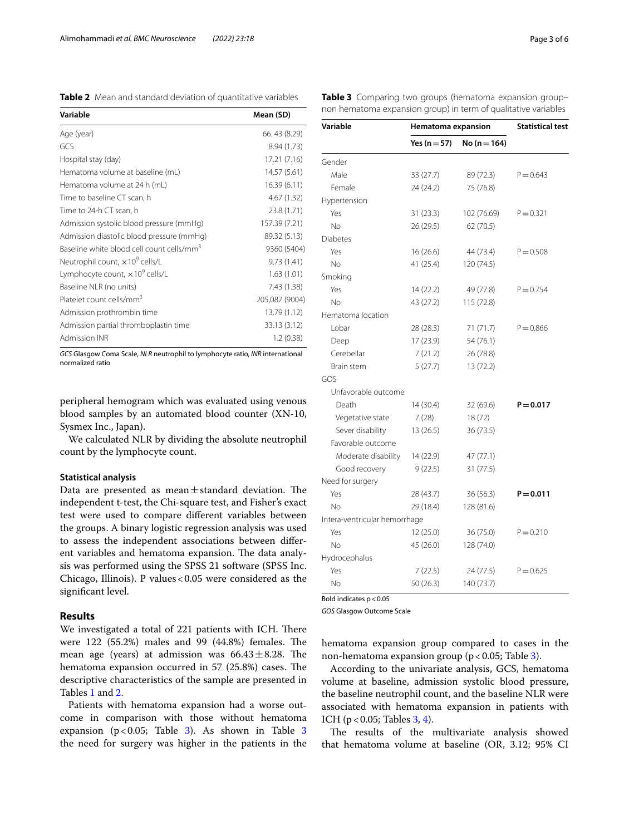<span id="page-2-0"></span>**Table 2** Mean and standard deviation of quantitative variables

| Variable                                              | Mean (SD)      |
|-------------------------------------------------------|----------------|
| Age (year)                                            | 66.43 (8.29)   |
| GCS                                                   | 8.94 (1.73)    |
| Hospital stay (day)                                   | 17.21 (7.16)   |
| Hematoma volume at baseline (mL)                      | 14.57 (5.61)   |
| Hematoma volume at 24 h (mL)                          | 16.39(6.11)    |
| Time to baseline CT scan, h                           | 4.67(1.32)     |
| Time to 24-h CT scan, h                               | 23.8 (1.71)    |
| Admission systolic blood pressure (mmHg)              | 157.39 (7.21)  |
| Admission diastolic blood pressure (mmHg)             | 89.32 (5.13)   |
| Baseline white blood cell count cells/mm <sup>3</sup> | 9360 (5404)    |
| Neutrophil count, x 10 <sup>9</sup> cells/L           | 9.73(1.41)     |
| Lymphocyte count, $\times 10^9$ cells/L               | 1.63(1.01)     |
| Baseline NLR (no units)                               | 7.43 (1.38)    |
| Platelet count cells/mm <sup>3</sup>                  | 205,087 (9004) |
| Admission prothrombin time                            | 13.79 (1.12)   |
| Admission partial thromboplastin time                 | 33.13 (3.12)   |
| <b>Admission INR</b>                                  | 1.2(0.38)      |

*GCS* Glasgow Coma Scale, *NLR* neutrophil to lymphocyte ratio, *INR* international normalized ratio

peripheral hemogram which was evaluated using venous blood samples by an automated blood counter (XN-10, Sysmex Inc., Japan).

We calculated NLR by dividing the absolute neutrophil count by the lymphocyte count.

## **Statistical analysis**

Data are presented as mean $\pm$ standard deviation. The independent t-test, the Chi-square test, and Fisher's exact test were used to compare diferent variables between the groups. A binary logistic regression analysis was used to assess the independent associations between diferent variables and hematoma expansion. The data analysis was performed using the SPSS 21 software (SPSS Inc. Chicago, Illinois). P values  $< 0.05$  were considered as the signifcant level.

# **Results**

We investigated a total of 221 patients with ICH. There were  $122$  (55.2%) males and 99 (44.8%) females. The mean age (years) at admission was  $66.43 \pm 8.28$ . The hematoma expansion occurred in  $57$   $(25.8%)$  cases. The descriptive characteristics of the sample are presented in Tables [1](#page-1-0) and [2.](#page-2-0)

Patients with hematoma expansion had a worse outcome in comparison with those without hematoma expansion ( $p < 0.05$ ; Table [3](#page-2-1)). As shown in Table 3 the need for surgery was higher in the patients in the

<span id="page-2-1"></span>**Table 3** Comparing two groups (hematoma expansion group– non hematoma expansion group) in term of qualitative variables

| Variable                      | Hematoma expansion |                  | <b>Statistical test</b> |
|-------------------------------|--------------------|------------------|-------------------------|
|                               | Yes ( $n = 57$ )   | No ( $n = 164$ ) |                         |
| Gender                        |                    |                  |                         |
| Male                          | 33 (27.7)          | 89 (72.3)        | $P = 0.643$             |
| Female                        | 24 (24.2)          | 75 (76.8)        |                         |
| Hypertension                  |                    |                  |                         |
| Yes                           | 31(23.3)           | 102 (76.69)      | $P = 0.321$             |
| No.                           | 26 (29.5)          | 62 (70.5)        |                         |
| Diabetes                      |                    |                  |                         |
| Yes                           | 16(26.6)           | 44 (73.4)        | $P = 0.508$             |
| No.                           | 41 (25.4)          | 120 (74.5)       |                         |
| Smoking                       |                    |                  |                         |
| Yes                           | 14(22.2)           | 49 (77.8)        | $P = 0.754$             |
| No                            | 43 (27.2)          | 115 (72.8)       |                         |
| Hematoma location             |                    |                  |                         |
| Lobar                         | 28 (28.3)          | 71 (71.7)        | $P = 0.866$             |
| Deep                          | 17 (23.9)          | 54 (76.1)        |                         |
| Cerebellar                    | 7(21.2)            | 26 (78.8)        |                         |
| Brain stem                    | 5(27.7)            | 13 (72.2)        |                         |
| GOS                           |                    |                  |                         |
| Unfavorable outcome           |                    |                  |                         |
| Death                         | 14 (30.4)          | 32 (69.6)        | $P = 0.017$             |
| Vegetative state              | 7(28)              | 18(72)           |                         |
| Sever disability              | 13 (26.5)          | 36 (73.5)        |                         |
| Favorable outcome             |                    |                  |                         |
| Moderate disability           | 14 (22.9)          | 47 (77.1)        |                         |
| Good recovery                 | 9(22.5)            | 31 (77.5)        |                         |
| Need for surgery              |                    |                  |                         |
| Yes                           | 28 (43.7)          | 36 (56.3)        | $P = 0.011$             |
| No                            | 29 (18.4)          | 128 (81.6)       |                         |
| Intera-ventricular hemorrhage |                    |                  |                         |
| Yes                           | 12 (25.0)          | 36 (75.0)        | $P = 0.210$             |
| No                            | 45 (26.0)          | 128 (74.0)       |                         |
| Hydrocephalus                 |                    |                  |                         |
| Yes                           | 7(22.5)            | 24 (77.5)        | $P = 0.625$             |
| No                            | 50(26.3)           | 140 (73.7)       |                         |

Bold indicates  $p < 0.05$ 

*GOS* Glasgow Outcome Scale

hematoma expansion group compared to cases in the non-hematoma expansion group ( $p < 0.05$ ; Table [3\)](#page-2-1).

According to the univariate analysis, GCS, hematoma volume at baseline, admission systolic blood pressure, the baseline neutrophil count, and the baseline NLR were associated with hematoma expansion in patients with ICH ( $p < 0.05$ ; Tables [3,](#page-2-1) [4](#page-3-0)).

The results of the multivariate analysis showed that hematoma volume at baseline (OR, 3.12; 95% CI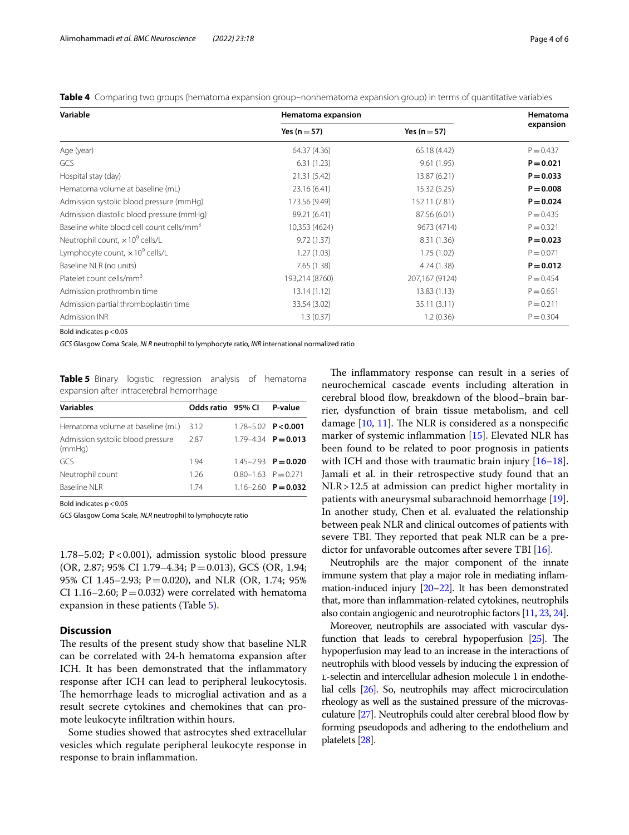<span id="page-3-0"></span>**Table 4** Comparing two groups (hematoma expansion group–nonhematoma expansion group) in terms of quantitative variables

| Variable                                              | Hematoma expansion | Hematoma         |             |
|-------------------------------------------------------|--------------------|------------------|-------------|
|                                                       | Yes ( $n = 57$ )   | Yes ( $n = 57$ ) | expansion   |
| Age (year)                                            | 64.37 (4.36)       | 65.18 (4.42)     | $P = 0.437$ |
| GCS                                                   | 6.31(1.23)         | 9.61(1.95)       | $P = 0.021$ |
| Hospital stay (day)                                   | 21.31 (5.42)       | 13.87 (6.21)     | $P = 0.033$ |
| Hematoma volume at baseline (mL)                      | 23.16 (6.41)       | 15.32 (5.25)     | $P = 0.008$ |
| Admission systolic blood pressure (mmHg)              | 173.56 (9.49)      | 152.11 (7.81)    | $P = 0.024$ |
| Admission diastolic blood pressure (mmHg)             | 89.21 (6.41)       | 87.56 (6.01)     | $P = 0.435$ |
| Baseline white blood cell count cells/mm <sup>3</sup> | 10,353 (4624)      | 9673 (4714)      | $P = 0.321$ |
| Neutrophil count, $\times 10^9$ cells/L               | 9.72(1.37)         | 8.31(1.36)       | $P = 0.023$ |
| Lymphocyte count, $\times 10^9$ cells/L               | 1.27(1.03)         | 1.75(1.02)       | $P = 0.071$ |
| Baseline NLR (no units)                               | 7.65(1.38)         | 4.74 (1.38)      | $P = 0.012$ |
| Platelet count cells/mm <sup>3</sup>                  | 193,214 (8760)     | 207,167 (9124)   | $P = 0.454$ |
| Admission prothrombin time                            | 13.14(1.12)        | 13.83(1.13)      | $P = 0.651$ |
| Admission partial thromboplastin time                 | 33.54 (3.02)       | 35.11 (3.11)     | $P = 0.211$ |
| <b>Admission INR</b>                                  | 1.3(0.37)          | 1.2(0.36)        | $P = 0.304$ |

Bold indicates  $p < 0.05$ 

*GCS* Glasgow Coma Scale, *NLR* neutrophil to lymphocyte ratio, *INR* international normalized ratio

<span id="page-3-1"></span>**Table 5** Binary logistic regression analysis of hematoma expansion after intracerebral hemorrhage

| <b>Variables</b>                            | Odds ratio 95% CI |                           | P-value                   |
|---------------------------------------------|-------------------|---------------------------|---------------------------|
| Hematoma volume at baseline (mL)            | 3.12              |                           | $1.78 - 5.02$ P<0.001     |
| Admission systolic blood pressure<br>(mmHq) | 2.87              |                           | $1.79 - 4.34$ $P = 0.013$ |
| GCS                                         | 194               |                           | $1.45 - 2.93$ $P = 0.020$ |
| Neutrophil count                            | 1.26              | $0.80 - 1.63$ $P = 0.271$ |                           |
| <b>Baseline NLR</b>                         | 174               |                           | $1.16 - 2.60$ P = 0.032   |

Bold indicates  $p < 0.05$ 

*GCS* Glasgow Coma Scale, *NLR* neutrophil to lymphocyte ratio

1.78–5.02;  $P < 0.001$ ), admission systolic blood pressure (OR, 2.87; 95% CI 1.79–4.34; P=0.013), GCS (OR, 1.94; 95% CI 1.45–2.93; P=0.020), and NLR (OR, 1.74; 95% CI 1.16–2.60;  $P = 0.032$ ) were correlated with hematoma expansion in these patients (Table [5](#page-3-1)).

# **Discussion**

The results of the present study show that baseline NLR can be correlated with 24-h hematoma expansion after ICH. It has been demonstrated that the inflammatory response after ICH can lead to peripheral leukocytosis. The hemorrhage leads to microglial activation and as a result secrete cytokines and chemokines that can promote leukocyte infltration within hours.

Some studies showed that astrocytes shed extracellular vesicles which regulate peripheral leukocyte response in response to brain infammation.

The inflammatory response can result in a series of neurochemical cascade events including alteration in cerebral blood flow, breakdown of the blood–brain barrier, dysfunction of brain tissue metabolism, and cell damage  $[10, 11]$  $[10, 11]$  $[10, 11]$  $[10, 11]$ . The NLR is considered as a nonspecific marker of systemic infammation [\[15\]](#page-4-13). Elevated NLR has been found to be related to poor prognosis in patients with ICH and those with traumatic brain injury [[16](#page-4-14)[–18](#page-5-0)]. Jamali et al. in their retrospective study found that an NLR > 12.5 at admission can predict higher mortality in patients with aneurysmal subarachnoid hemorrhage [\[19](#page-5-1)]. In another study, Chen et al. evaluated the relationship between peak NLR and clinical outcomes of patients with severe TBI. They reported that peak NLR can be a pre-dictor for unfavorable outcomes after severe TBI [[16](#page-4-14)].

Neutrophils are the major component of the innate immune system that play a major role in mediating infammation-induced injury [\[20](#page-5-2)[–22](#page-5-3)]. It has been demonstrated that, more than infammation-related cytokines, neutrophils also contain angiogenic and neurotrophic factors [\[11,](#page-4-9) [23](#page-5-4), [24](#page-5-5)].

Moreover, neutrophils are associated with vascular dysfunction that leads to cerebral hypoperfusion  $[25]$  $[25]$ . The hypoperfusion may lead to an increase in the interactions of neutrophils with blood vessels by inducing the expression of l-selectin and intercellular adhesion molecule 1 in endothelial cells [\[26](#page-5-7)]. So, neutrophils may afect microcirculation rheology as well as the sustained pressure of the microvasculature [\[27](#page-5-8)]. Neutrophils could alter cerebral blood fow by forming pseudopods and adhering to the endothelium and platelets [[28\]](#page-5-9).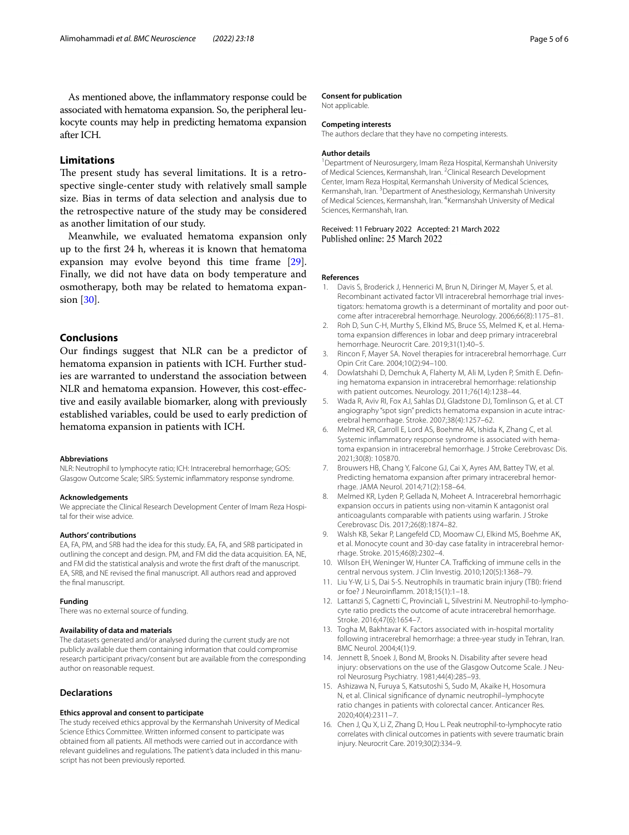As mentioned above, the infammatory response could be associated with hematoma expansion. So, the peripheral leukocyte counts may help in predicting hematoma expansion after ICH.

# **Limitations**

The present study has several limitations. It is a retrospective single-center study with relatively small sample size. Bias in terms of data selection and analysis due to the retrospective nature of the study may be considered as another limitation of our study.

Meanwhile, we evaluated hematoma expansion only up to the frst 24 h, whereas it is known that hematoma expansion may evolve beyond this time frame [\[29](#page-5-10)]. Finally, we did not have data on body temperature and osmotherapy, both may be related to hematoma expansion [\[30](#page-5-11)].

# **Conclusions**

Our fndings suggest that NLR can be a predictor of hematoma expansion in patients with ICH. Further studies are warranted to understand the association between NLR and hematoma expansion. However, this cost-efective and easily available biomarker, along with previously established variables, could be used to early prediction of hematoma expansion in patients with ICH.

#### **Abbreviations**

NLR: Neutrophil to lymphocyte ratio; ICH: Intracerebral hemorrhage; GOS: Glasgow Outcome Scale; SIRS: Systemic infammatory response syndrome.

#### **Acknowledgements**

We appreciate the Clinical Research Development Center of Imam Reza Hospital for their wise advice.

#### **Authors' contributions**

EA, FA, PM, and SRB had the idea for this study. EA, FA, and SRB participated in outlining the concept and design. PM, and FM did the data acquisition. EA, NE, and FM did the statistical analysis and wrote the frst draft of the manuscript. EA, SRB, and NE revised the fnal manuscript. All authors read and approved the fnal manuscript.

#### **Funding**

There was no external source of funding.

#### **Availability of data and materials**

The datasets generated and/or analysed during the current study are not publicly available due them containing information that could compromise research participant privacy/consent but are available from the corresponding author on reasonable request.

## **Declarations**

# **Ethics approval and consent to participate**

The study received ethics approval by the Kermanshah University of Medical Science Ethics Committee. Written informed consent to participate was obtained from all patients. All methods were carried out in accordance with relevant guidelines and regulations. The patient's data included in this manuscript has not been previously reported.

#### **Consent for publication**

Not applicable.

#### **Competing interests**

The authors declare that they have no competing interests.

#### **Author details**

<sup>1</sup> Department of Neurosurgery, Imam Reza Hospital, Kermanshah University of Medical Sciences, Kermanshah, Iran. <sup>2</sup> Clinical Research Development Center, Imam Reza Hospital, Kermanshah University of Medical Sciences, Kermanshah, Iran. <sup>3</sup> Department of Anesthesiology, Kermanshah University of Medical Sciences, Kermanshah, Iran. <sup>4</sup> Kermanshah University of Medical Sciences, Kermanshah, Iran.

Received: 11 February 2022 Accepted: 21 March 2022 Published online: 25 March 2022

#### **References**

- <span id="page-4-0"></span>1. Davis S, Broderick J, Hennerici M, Brun N, Diringer M, Mayer S, et al. Recombinant activated factor VII intracerebral hemorrhage trial investigators: hematoma growth is a determinant of mortality and poor outcome after intracerebral hemorrhage. Neurology. 2006;66(8):1175–81.
- <span id="page-4-1"></span>2. Roh D, Sun C-H, Murthy S, Elkind MS, Bruce SS, Melmed K, et al. Hematoma expansion diferences in lobar and deep primary intracerebral hemorrhage. Neurocrit Care. 2019;31(1):40–5.
- <span id="page-4-2"></span>3. Rincon F, Mayer SA. Novel therapies for intracerebral hemorrhage. Curr Opin Crit Care. 2004;10(2):94–100.
- <span id="page-4-3"></span>4. Dowlatshahi D, Demchuk A, Flaherty M, Ali M, Lyden P, Smith E. Defning hematoma expansion in intracerebral hemorrhage: relationship with patient outcomes. Neurology. 2011;76(14):1238–44.
- <span id="page-4-4"></span>5. Wada R, Aviv RI, Fox AJ, Sahlas DJ, Gladstone DJ, Tomlinson G, et al. CT angiography "spot sign" predicts hematoma expansion in acute intracerebral hemorrhage. Stroke. 2007;38(4):1257–62.
- <span id="page-4-5"></span>6. Melmed KR, Carroll E, Lord AS, Boehme AK, Ishida K, Zhang C, et al. Systemic infammatory response syndrome is associated with hematoma expansion in intracerebral hemorrhage. J Stroke Cerebrovasc Dis. 2021;30(8): 105870.
- 7. Brouwers HB, Chang Y, Falcone GJ, Cai X, Ayres AM, Battey TW, et al. Predicting hematoma expansion after primary intracerebral hemorrhage. JAMA Neurol. 2014;71(2):158–64.
- <span id="page-4-6"></span>8. Melmed KR, Lyden P, Gellada N, Moheet A. Intracerebral hemorrhagic expansion occurs in patients using non-vitamin K antagonist oral anticoagulants comparable with patients using warfarin. J Stroke Cerebrovasc Dis. 2017;26(8):1874–82.
- <span id="page-4-7"></span>9. Walsh KB, Sekar P, Langefeld CD, Moomaw CJ, Elkind MS, Boehme AK, et al. Monocyte count and 30-day case fatality in intracerebral hemorrhage. Stroke. 2015;46(8):2302–4.
- <span id="page-4-8"></span>10. Wilson EH, Weninger W, Hunter CA. Trafficking of immune cells in the central nervous system. J Clin Investig. 2010;120(5):1368–79.
- <span id="page-4-9"></span>11. Liu Y-W, Li S, Dai S-S. Neutrophils in traumatic brain injury (TBI): friend or foe? J Neuroinfamm. 2018;15(1):1–18.
- <span id="page-4-10"></span>12. Lattanzi S, Cagnetti C, Provinciali L, Silvestrini M. Neutrophil-to-lymphocyte ratio predicts the outcome of acute intracerebral hemorrhage. Stroke. 2016;47(6):1654–7.
- <span id="page-4-11"></span>13. Togha M, Bakhtavar K. Factors associated with in-hospital mortality following intracerebral hemorrhage: a three-year study in Tehran, Iran. BMC Neurol. 2004;4(1):9.
- <span id="page-4-12"></span>14. Jennett B, Snoek J, Bond M, Brooks N. Disability after severe head injury: observations on the use of the Glasgow Outcome Scale. J Neurol Neurosurg Psychiatry. 1981;44(4):285–93.
- <span id="page-4-13"></span>15. Ashizawa N, Furuya S, Katsutoshi S, Sudo M, Akaike H, Hosomura N, et al. Clinical signifcance of dynamic neutrophil–lymphocyte ratio changes in patients with colorectal cancer. Anticancer Res. 2020;40(4):2311–7.
- <span id="page-4-14"></span>16. Chen J, Qu X, Li Z, Zhang D, Hou L. Peak neutrophil-to-lymphocyte ratio correlates with clinical outcomes in patients with severe traumatic brain injury. Neurocrit Care. 2019;30(2):334–9.